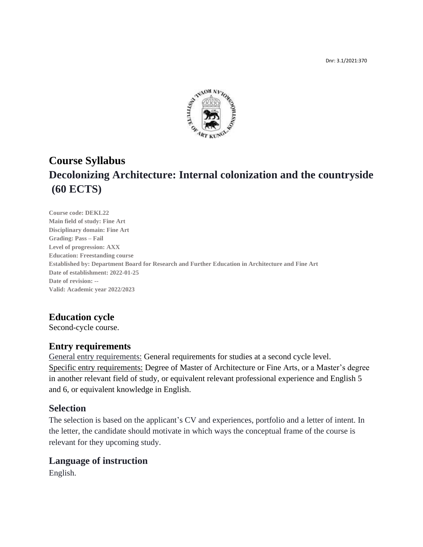

# **Course Syllabus Decolonizing Architecture: Internal colonization and the countryside (60 ECTS)**

**Course code: DEKL22 Main field of study: Fine Art Disciplinary domain: Fine Art Grading: Pass – Fail Level of progression: AXX Education: Freestanding course Established by: Department Board for Research and Further Education in Architecture and Fine Art Date of establishment: 2022-01-25 Date of revision: -- Valid: Academic year 2022/2023**

# **Education cycle**

Second-cycle course.

## **Entry requirements**

General entry requirements: General requirements for studies at a second cycle level. Specific entry requirements: Degree of Master of Architecture or Fine Arts, or a Master's degree in another relevant field of study, or equivalent relevant professional experience and English 5 and 6, or equivalent knowledge in English.

## **Selection**

The selection is based on the applicant's CV and experiences, portfolio and a letter of intent. In the letter, the candidate should motivate in which ways the conceptual frame of the course is relevant for they upcoming study.

## **Language of instruction**

English.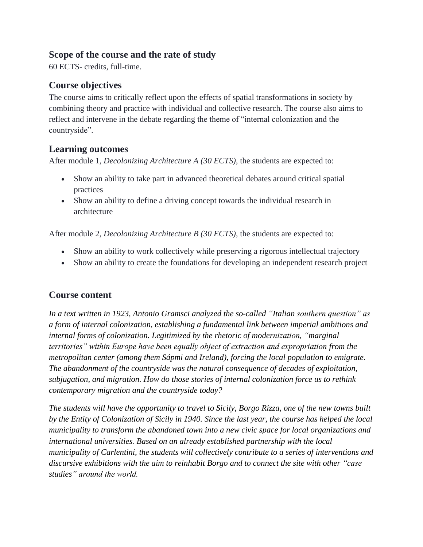# **Scope of the course and the rate of study**

60 ECTS- credits, full-time.

# **Course objectives**

The course aims to critically reflect upon the effects of spatial transformations in society by combining theory and practice with individual and collective research. The course also aims to reflect and intervene in the debate regarding the theme of "internal colonization and the countryside".

# **Learning outcomes**

After module 1, *Decolonizing Architecture A (30 ECTS)*, the students are expected to:

- Show an ability to take part in advanced theoretical debates around critical spatial practices
- Show an ability to define a driving concept towards the individual research in architecture

After module 2, *Decolonizing Architecture B (30 ECTS)*, the students are expected to:

- Show an ability to work collectively while preserving a rigorous intellectual trajectory
- Show an ability to create the foundations for developing an independent research project

# **Course content**

*In a text written in 1923, Antonio Gramsci analyzed the so-called "Italian southern question" as a form of internal colonization, establishing a fundamental link between imperial ambitions and internal forms of colonization. Legitimized by the rhetoric of modernization, "marginal territories" within Europe have been equally object of extraction and expropriation from the metropolitan center (among them Sápmi and Ireland), forcing the local population to emigrate. The abandonment of the countryside was the natural consequence of decades of exploitation, subjugation, and migration. How do those stories of internal colonization force us to rethink contemporary migration and the countryside today?* 

*The students will have the opportunity to travel to Sicily, Borgo Rizza, one of the new towns built by the Entity of Colonization of Sicily in 1940. Since the last year, the course has helped the local municipality to transform the abandoned town into a new civic space for local organizations and international universities. Based on an already established partnership with the local municipality of Carlentini, the students will collectively contribute to a series of interventions and discursive exhibitions with the aim to reinhabit Borgo and to connect the site with other "case studies" around the world.*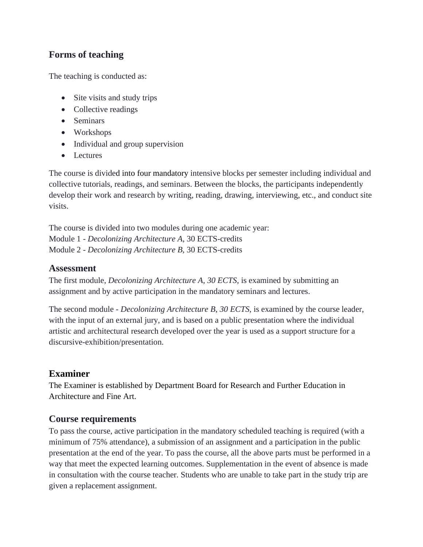# **Forms of teaching**

The teaching is conducted as:

- Site visits and study trips
- Collective readings
- Seminars
- Workshops
- Individual and group supervision
- Lectures

The course is divided into four mandatory intensive blocks per semester including individual and collective tutorials, readings, and seminars. Between the blocks, the participants independently develop their work and research by writing, reading, drawing, interviewing, etc., and conduct site visits.

The course is divided into two modules during one academic year: Module 1 - *Decolonizing Architecture A*, 30 ECTS-credits Module 2 *- Decolonizing Architecture B,* 30 ECTS-credits

## **Assessment**

The first module, *Decolonizing Architecture A, 30 ECTS,* is examined by submitting an assignment and by active participation in the mandatory seminars and lectures.

The second module - *Decolonizing Architecture B, 30 ECTS,* is examined by the course leader, with the input of an external jury, and is based on a public presentation where the individual artistic and architectural research developed over the year is used as a support structure for a discursive-exhibition/presentation.

# **Examiner**

The Examiner is established by Department Board for Research and Further Education in Architecture and Fine Art.

# **Course requirements**

To pass the course, active participation in the mandatory scheduled teaching is required (with a minimum of 75% attendance), a submission of an assignment and a participation in the public presentation at the end of the year. To pass the course, all the above parts must be performed in a way that meet the expected learning outcomes. Supplementation in the event of absence is made in consultation with the course teacher. Students who are unable to take part in the study trip are given a replacement assignment.